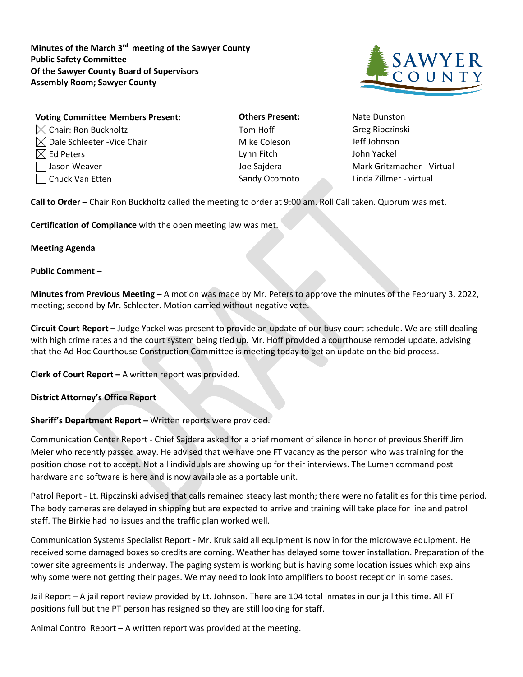**Minutes of the March 3rd meeting of the Sawyer County Public Safety Committee Of the Sawyer County Board of Supervisors Assembly Room; Sawyer County**



| <b>Voting Committee Members Present:</b> | <b>Others Present:</b> | Nate Dunst          |
|------------------------------------------|------------------------|---------------------|
| $\boxtimes$ Chair: Ron Buckholtz         | Tom Hoff               | <b>Greg Ripczii</b> |
| $\boxtimes$ Dale Schleeter -Vice Chair   | Mike Coleson           | Jeff Johnsor        |
| $\boxtimes$ Ed Peters                    | Lynn Fitch             | John Yackel         |
| $\Box$ Jason Weaver                      | Joe Sajdera            | Mark Gritzn         |
| □ Chuck Van Etten                        | Sandy Ocomoto          | Linda Zillme        |

**Others Present:** Nate Dunston Tom Hoff Greg Ripczinski Mike Coleson and Jeff Johnson

Joe Sajdera Mark Gritzmacher - Virtual Sandy Ocomoto Linda Zillmer - virtual

**Call to Order –** Chair Ron Buckholtz called the meeting to order at 9:00 am. Roll Call taken. Quorum was met.

**Certification of Compliance** with the open meeting law was met.

# **Meeting Agenda**

# **Public Comment –**

**Minutes from Previous Meeting –** A motion was made by Mr. Peters to approve the minutes of the February 3, 2022, meeting; second by Mr. Schleeter. Motion carried without negative vote.

**Circuit Court Report –** Judge Yackel was present to provide an update of our busy court schedule. We are still dealing with high crime rates and the court system being tied up. Mr. Hoff provided a courthouse remodel update, advising that the Ad Hoc Courthouse Construction Committee is meeting today to get an update on the bid process.

**Clerk of Court Report –** A written report was provided.

# **District Attorney's Office Report**

# **Sheriff's Department Report –** Written reports were provided.

Communication Center Report - Chief Sajdera asked for a brief moment of silence in honor of previous Sheriff Jim Meier who recently passed away. He advised that we have one FT vacancy as the person who was training for the position chose not to accept. Not all individuals are showing up for their interviews. The Lumen command post hardware and software is here and is now available as a portable unit.

Patrol Report - Lt. Ripczinski advised that calls remained steady last month; there were no fatalities for this time period. The body cameras are delayed in shipping but are expected to arrive and training will take place for line and patrol staff. The Birkie had no issues and the traffic plan worked well.

Communication Systems Specialist Report - Mr. Kruk said all equipment is now in for the microwave equipment. He received some damaged boxes so credits are coming. Weather has delayed some tower installation. Preparation of the tower site agreements is underway. The paging system is working but is having some location issues which explains why some were not getting their pages. We may need to look into amplifiers to boost reception in some cases.

Jail Report – A jail report review provided by Lt. Johnson. There are 104 total inmates in our jail this time. All FT positions full but the PT person has resigned so they are still looking for staff.

Animal Control Report – A written report was provided at the meeting.